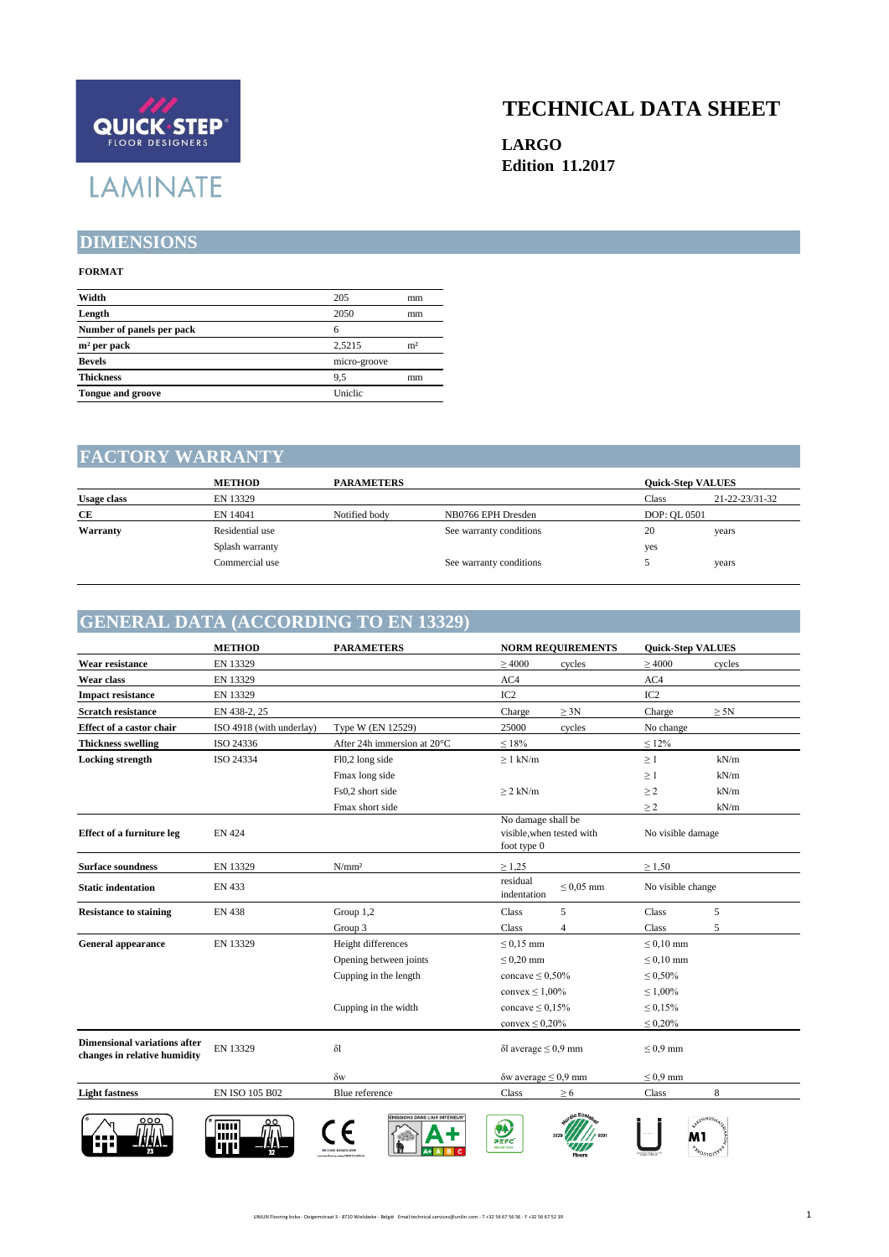

### **TECHNICAL DATA SHEET**

**LARGO Edition 11.2017**

#### **DIMENSIONS**

#### **FORMAT**

| Width                     | 205          | mm             |  |
|---------------------------|--------------|----------------|--|
| Length                    | 2050         | mm             |  |
| Number of panels per pack | 6            |                |  |
| $m2$ per pack             | 2.5215       | m <sup>2</sup> |  |
| <b>Bevels</b>             | micro-groove |                |  |
| <b>Thickness</b>          | 9.5          | mm             |  |
| <b>Tongue and groove</b>  | Uniclic      |                |  |
|                           |              |                |  |

#### **FACTORY WARRANTY**

|                    | <b>METHOD</b>   | <b>PARAMETERS</b> |                         |              | <b>Ouick-Step VALUES</b> |
|--------------------|-----------------|-------------------|-------------------------|--------------|--------------------------|
| <b>Usage class</b> | EN 13329        |                   |                         | Class        | 21-22-23/31-32           |
| СE                 | EN 14041        | Notified body     | NB0766 EPH Dresden      | DOP: OL 0501 |                          |
| Warranty           | Residential use |                   | See warranty conditions | 20           | years                    |
|                    | Splash warranty |                   |                         | yes          |                          |
|                    | Commercial use  |                   | See warranty conditions |              | years                    |

#### **GENERAL DATA (ACCORDING TO EN 13329)**

|                                                                     | <b>METHOD</b>            | <b>PARAMETERS</b>              |                                   | <b>NORM REQUIREMENTS</b>  | <b>Quick-Step VALUES</b> |                                            |
|---------------------------------------------------------------------|--------------------------|--------------------------------|-----------------------------------|---------------------------|--------------------------|--------------------------------------------|
| Wear resistance                                                     | EN 13329                 |                                | $\geq 4000$                       | cycles                    | $\geq 4000$              | cycles                                     |
| Wear class                                                          | EN 13329                 |                                | AC4                               |                           | AC4                      |                                            |
| <b>Impact resistance</b>                                            | EN 13329                 |                                | IC <sub>2</sub>                   |                           | IC <sub>2</sub>          |                                            |
| <b>Scratch resistance</b>                                           | EN 438-2, 25             |                                | Charge                            | $\geq 3N$                 | Charge                   | $\geq 5N$                                  |
| Effect of a castor chair                                            | ISO 4918 (with underlay) | Type W (EN 12529)              | 25000                             | cycles                    | No change                |                                            |
| <b>Thickness swelling</b>                                           | ISO 24336                | After 24h immersion at 20°C    | $\leq 18\%$                       |                           | $\leq 12\%$              |                                            |
| <b>Locking</b> strength                                             | ISO 24334                | Fl0,2 long side                | $\geq 1$ kN/m                     |                           | $\geq 1$                 | kN/m                                       |
|                                                                     |                          | Fmax long side                 |                                   |                           | $\geq 1$                 | kN/m                                       |
|                                                                     |                          | Fs0,2 short side               | $\geq$ 2 kN/m                     |                           | $\geq$ 2                 | kN/m                                       |
|                                                                     |                          | Fmax short side                |                                   |                           | $\geq$ 2                 | kN/m                                       |
| <b>Effect of a furniture leg</b>                                    | <b>EN 424</b>            |                                | No damage shall be<br>foot type 0 | visible, when tested with | No visible damage        |                                            |
| <b>Surface soundness</b>                                            | EN 13329                 | N/mm <sup>2</sup>              | $\geq 1,25$                       |                           | $\geq 1,50$              |                                            |
| <b>Static indentation</b>                                           | EN 433                   |                                | residual<br>indentation           | $\leq 0.05$ mm            | No visible change        |                                            |
| <b>Resistance to staining</b>                                       | <b>EN 438</b>            | Group 1,2                      | Class                             | 5                         | Class                    | 5                                          |
|                                                                     |                          | Group 3                        | Class                             | $\overline{4}$            | Class                    | 5                                          |
| <b>General appearance</b>                                           | EN 13329                 | Height differences             | $\leq$ 0,15 mm                    |                           | $\leq 0,10$ mm           |                                            |
|                                                                     |                          | Opening between joints         | $\leq 0.20$ mm                    |                           | $\leq 0,10$ mm           |                                            |
|                                                                     |                          | Cupping in the length          | concave $\leq 0,50\%$             |                           | $\leq 0,50\%$            |                                            |
|                                                                     |                          |                                | convex $\leq 1,00\%$              |                           | $\leq 1,00\%$            |                                            |
|                                                                     |                          | Cupping in the width           | concave $\leq 0.15\%$             |                           | $\leq 0.15\%$            |                                            |
|                                                                     |                          |                                | convex $\leq 0.20\%$              |                           | $\leq 0.20\%$            |                                            |
| <b>Dimensional variations after</b><br>changes in relative humidity | EN 13329                 | $\delta$ l                     | $\delta$ l average $\leq 0.9$ mm  |                           | $\leq 0.9$ mm            |                                            |
|                                                                     |                          | $\delta w$                     | $\delta w$ average $\leq 0.9$ mm  |                           | $\leq 0.9$ mm            |                                            |
| <b>Light fastness</b>                                               | EN ISO 105 B02           | Blue reference                 | Class                             | $\geq 6$                  | Class                    | 8                                          |
|                                                                     | ٥٥<br>шш<br>ш<br>TP      | ÉMISSIONS DANS L'AIR INTÉRIEUR | $\bullet$<br>PEFC<br>PDF 010-3347 |                           |                          | <b>SUFFINUSA</b><br>M۱<br><b>Lyon1015F</b> |